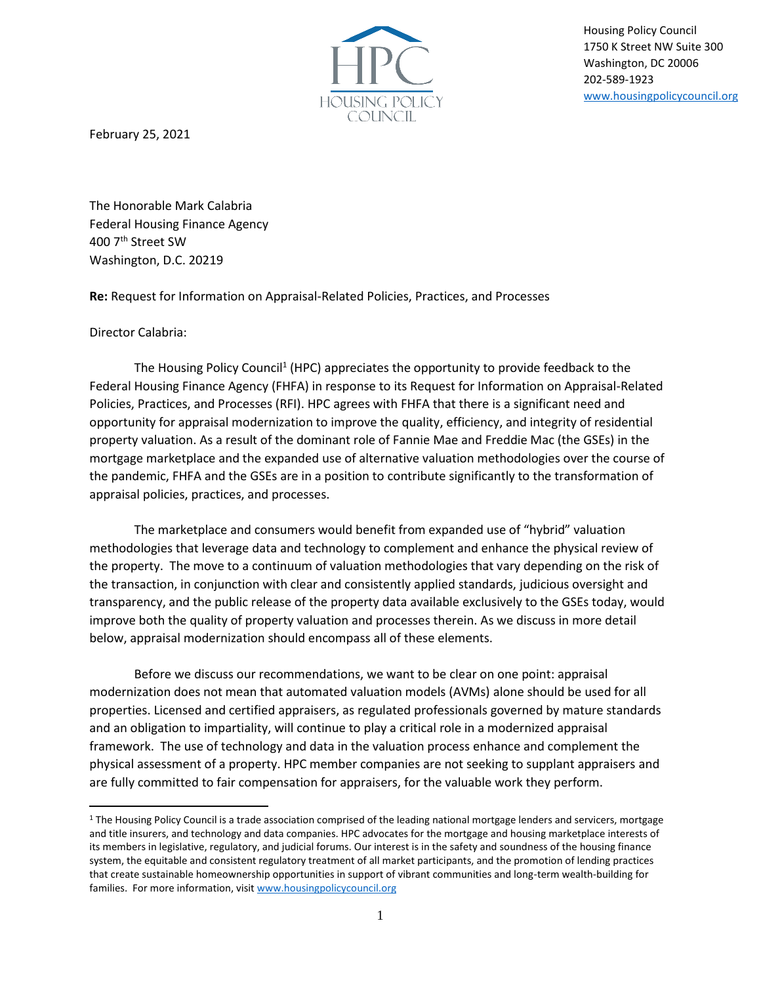

Housing Policy Council 1750 K Street NW Suite 300 Washington, DC 20006 202-589-1923 [www.housingpolicycouncil.org](http://www.housingpolicycouncil.org/)

February 25, 2021

The Honorable Mark Calabria Federal Housing Finance Agency 400 7th Street SW Washington, D.C. 20219

**Re:** Request for Information on Appraisal-Related Policies, Practices, and Processes

Director Calabria:

The Housing Policy Council<sup>1</sup> (HPC) appreciates the opportunity to provide feedback to the Federal Housing Finance Agency (FHFA) in response to its Request for Information on Appraisal-Related Policies, Practices, and Processes (RFI). HPC agrees with FHFA that there is a significant need and opportunity for appraisal modernization to improve the quality, efficiency, and integrity of residential property valuation. As a result of the dominant role of Fannie Mae and Freddie Mac (the GSEs) in the mortgage marketplace and the expanded use of alternative valuation methodologies over the course of the pandemic, FHFA and the GSEs are in a position to contribute significantly to the transformation of appraisal policies, practices, and processes.

The marketplace and consumers would benefit from expanded use of "hybrid" valuation methodologies that leverage data and technology to complement and enhance the physical review of the property. The move to a continuum of valuation methodologies that vary depending on the risk of the transaction, in conjunction with clear and consistently applied standards, judicious oversight and transparency, and the public release of the property data available exclusively to the GSEs today, would improve both the quality of property valuation and processes therein. As we discuss in more detail below, appraisal modernization should encompass all of these elements.

Before we discuss our recommendations, we want to be clear on one point: appraisal modernization does not mean that automated valuation models (AVMs) alone should be used for all properties. Licensed and certified appraisers, as regulated professionals governed by mature standards and an obligation to impartiality, will continue to play a critical role in a modernized appraisal framework. The use of technology and data in the valuation process enhance and complement the physical assessment of a property. HPC member companies are not seeking to supplant appraisers and are fully committed to fair compensation for appraisers, for the valuable work they perform.

<sup>&</sup>lt;sup>1</sup> The Housing Policy Council is a trade association comprised of the leading national mortgage lenders and servicers, mortgage and title insurers, and technology and data companies. HPC advocates for the mortgage and housing marketplace interests of its members in legislative, regulatory, and judicial forums. Our interest is in the safety and soundness of the housing finance system, the equitable and consistent regulatory treatment of all market participants, and the promotion of lending practices that create sustainable homeownership opportunities in support of vibrant communities and long-term wealth-building for families. For more information, visit [www.housingpolicycouncil.org](http://www.housingpolicycouncil.org/)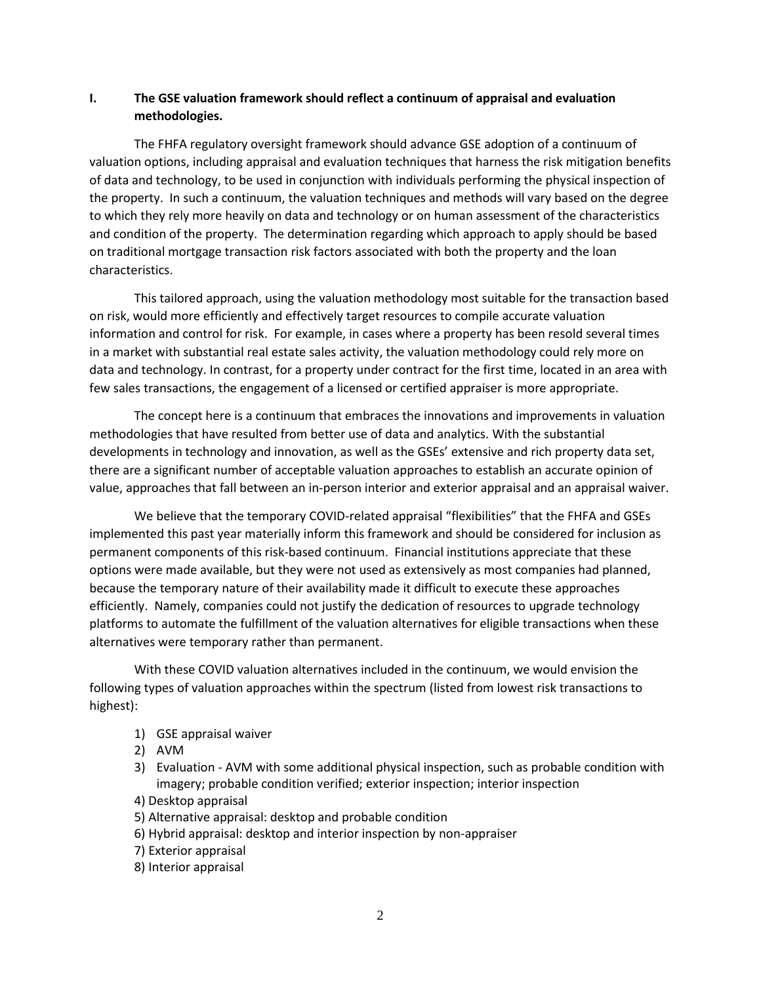## **I. The GSE valuation framework should reflect a continuum of appraisal and evaluation methodologies.**

The FHFA regulatory oversight framework should advance GSE adoption of a continuum of valuation options, including appraisal and evaluation techniques that harness the risk mitigation benefits of data and technology, to be used in conjunction with individuals performing the physical inspection of the property. In such a continuum, the valuation techniques and methods will vary based on the degree to which they rely more heavily on data and technology or on human assessment of the characteristics and condition of the property. The determination regarding which approach to apply should be based on traditional mortgage transaction risk factors associated with both the property and the loan characteristics.

This tailored approach, using the valuation methodology most suitable for the transaction based on risk, would more efficiently and effectively target resources to compile accurate valuation information and control for risk. For example, in cases where a property has been resold several times in a market with substantial real estate sales activity, the valuation methodology could rely more on data and technology. In contrast, for a property under contract for the first time, located in an area with few sales transactions, the engagement of a licensed or certified appraiser is more appropriate.

The concept here is a continuum that embraces the innovations and improvements in valuation methodologies that have resulted from better use of data and analytics. With the substantial developments in technology and innovation, as well as the GSEs' extensive and rich property data set, there are a significant number of acceptable valuation approaches to establish an accurate opinion of value, approaches that fall between an in-person interior and exterior appraisal and an appraisal waiver.

We believe that the temporary COVID-related appraisal "flexibilities" that the FHFA and GSEs implemented this past year materially inform this framework and should be considered for inclusion as permanent components of this risk-based continuum. Financial institutions appreciate that these options were made available, but they were not used as extensively as most companies had planned, because the temporary nature of their availability made it difficult to execute these approaches efficiently. Namely, companies could not justify the dedication of resources to upgrade technology platforms to automate the fulfillment of the valuation alternatives for eligible transactions when these alternatives were temporary rather than permanent.

With these COVID valuation alternatives included in the continuum, we would envision the following types of valuation approaches within the spectrum (listed from lowest risk transactions to highest):

- 1) GSE appraisal waiver
- 2) AVM
- 3) Evaluation AVM with some additional physical inspection, such as probable condition with imagery; probable condition verified; exterior inspection; interior inspection
- 4) Desktop appraisal
- 5) Alternative appraisal: desktop and probable condition
- 6) Hybrid appraisal: desktop and interior inspection by non-appraiser
- 7) Exterior appraisal
- 8) Interior appraisal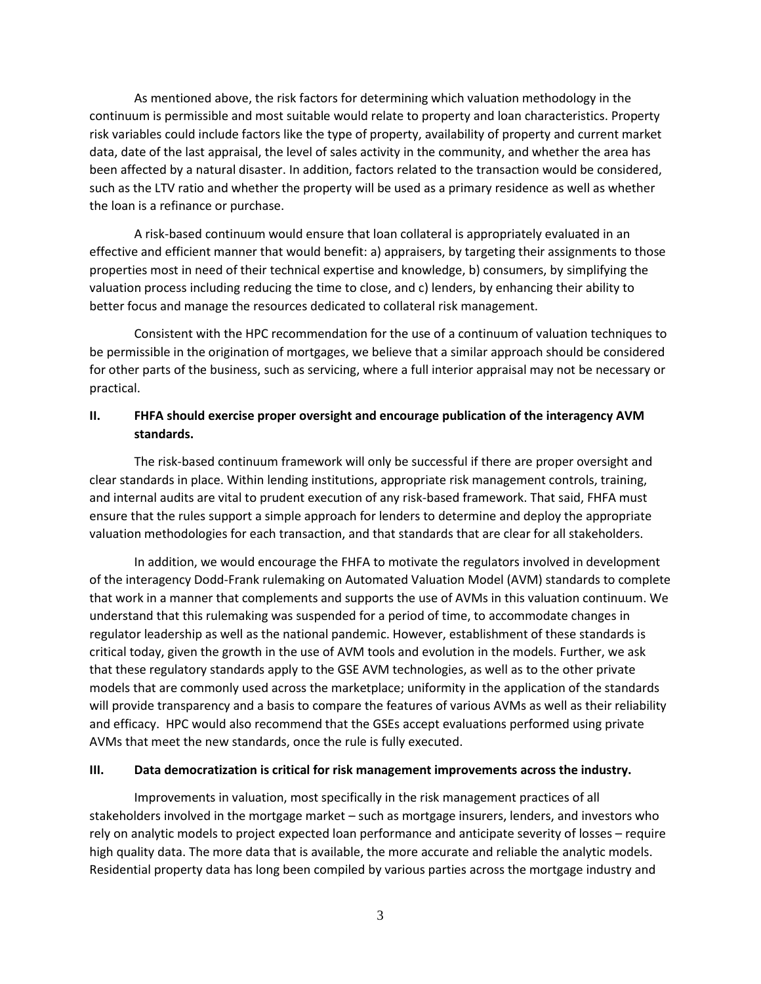As mentioned above, the risk factors for determining which valuation methodology in the continuum is permissible and most suitable would relate to property and loan characteristics. Property risk variables could include factors like the type of property, availability of property and current market data, date of the last appraisal, the level of sales activity in the community, and whether the area has been affected by a natural disaster. In addition, factors related to the transaction would be considered, such as the LTV ratio and whether the property will be used as a primary residence as well as whether the loan is a refinance or purchase.

A risk-based continuum would ensure that loan collateral is appropriately evaluated in an effective and efficient manner that would benefit: a) appraisers, by targeting their assignments to those properties most in need of their technical expertise and knowledge, b) consumers, by simplifying the valuation process including reducing the time to close, and c) lenders, by enhancing their ability to better focus and manage the resources dedicated to collateral risk management.

Consistent with the HPC recommendation for the use of a continuum of valuation techniques to be permissible in the origination of mortgages, we believe that a similar approach should be considered for other parts of the business, such as servicing, where a full interior appraisal may not be necessary or practical.

## **II. FHFA should exercise proper oversight and encourage publication of the interagency AVM standards.**

The risk-based continuum framework will only be successful if there are proper oversight and clear standards in place. Within lending institutions, appropriate risk management controls, training, and internal audits are vital to prudent execution of any risk-based framework. That said, FHFA must ensure that the rules support a simple approach for lenders to determine and deploy the appropriate valuation methodologies for each transaction, and that standards that are clear for all stakeholders.

In addition, we would encourage the FHFA to motivate the regulators involved in development of the interagency Dodd-Frank rulemaking on Automated Valuation Model (AVM) standards to complete that work in a manner that complements and supports the use of AVMs in this valuation continuum. We understand that this rulemaking was suspended for a period of time, to accommodate changes in regulator leadership as well as the national pandemic. However, establishment of these standards is critical today, given the growth in the use of AVM tools and evolution in the models. Further, we ask that these regulatory standards apply to the GSE AVM technologies, as well as to the other private models that are commonly used across the marketplace; uniformity in the application of the standards will provide transparency and a basis to compare the features of various AVMs as well as their reliability and efficacy. HPC would also recommend that the GSEs accept evaluations performed using private AVMs that meet the new standards, once the rule is fully executed.

## **III. Data democratization is critical for risk management improvements across the industry.**

Improvements in valuation, most specifically in the risk management practices of all stakeholders involved in the mortgage market – such as mortgage insurers, lenders, and investors who rely on analytic models to project expected loan performance and anticipate severity of losses – require high quality data. The more data that is available, the more accurate and reliable the analytic models. Residential property data has long been compiled by various parties across the mortgage industry and